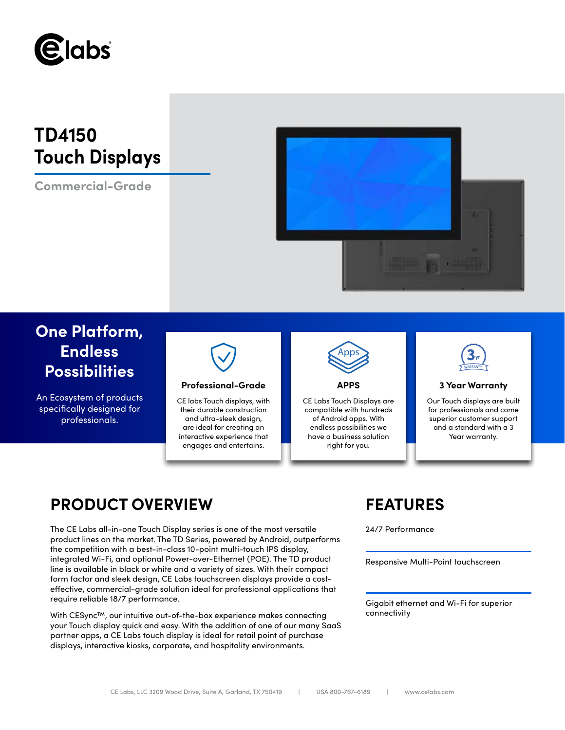

# **TD4150 Touch Displays**

**Commercial-Grade**



## **One Platform, Endless Possibilities**

An Ecosystem of products specifically designed for professionals.



### **Professional-Grade APPS 3 Year Warranty**

CE labs Touch displays, with their durable construction and ultra-sleek design, are ideal for creating an interactive experience that engages and entertains.



CE Labs Touch Displays are compatible with hundreds of Android apps. With endless possibilities we have a business solution right for you.



Our Touch displays are built for professionals and come superior customer support and a standard with a 3 Year warranty.

## **PRODUCT OVERVIEW FEATURES**

The CE Labs all-in-one Touch Display series is one of the most versatile 24/7 Performance product lines on the market. The TD Series, powered by Android, outperforms the competition with a best-in-class 10-point multi-touch IPS display, integrated Wi-Fi, and optional Power-over-Ethernet (POE). The TD product line is available in black or white and a variety of sizes. With their compact form factor and sleek design, CE Labs touchscreen displays provide a costeffective, commercial-grade solution ideal for professional applications that require reliable 18/7 performance.

With CESync™, our intuitive out-of-the-box experience makes connecting your Touch display quick and easy. With the addition of one of our many SaaS partner apps, a CE Labs touch display is ideal for retail point of purchase displays, interactive kiosks, corporate, and hospitality environments.

Responsive Multi-Point touchscreen

Gigabit ethernet and Wi-Fi for superior connectivity